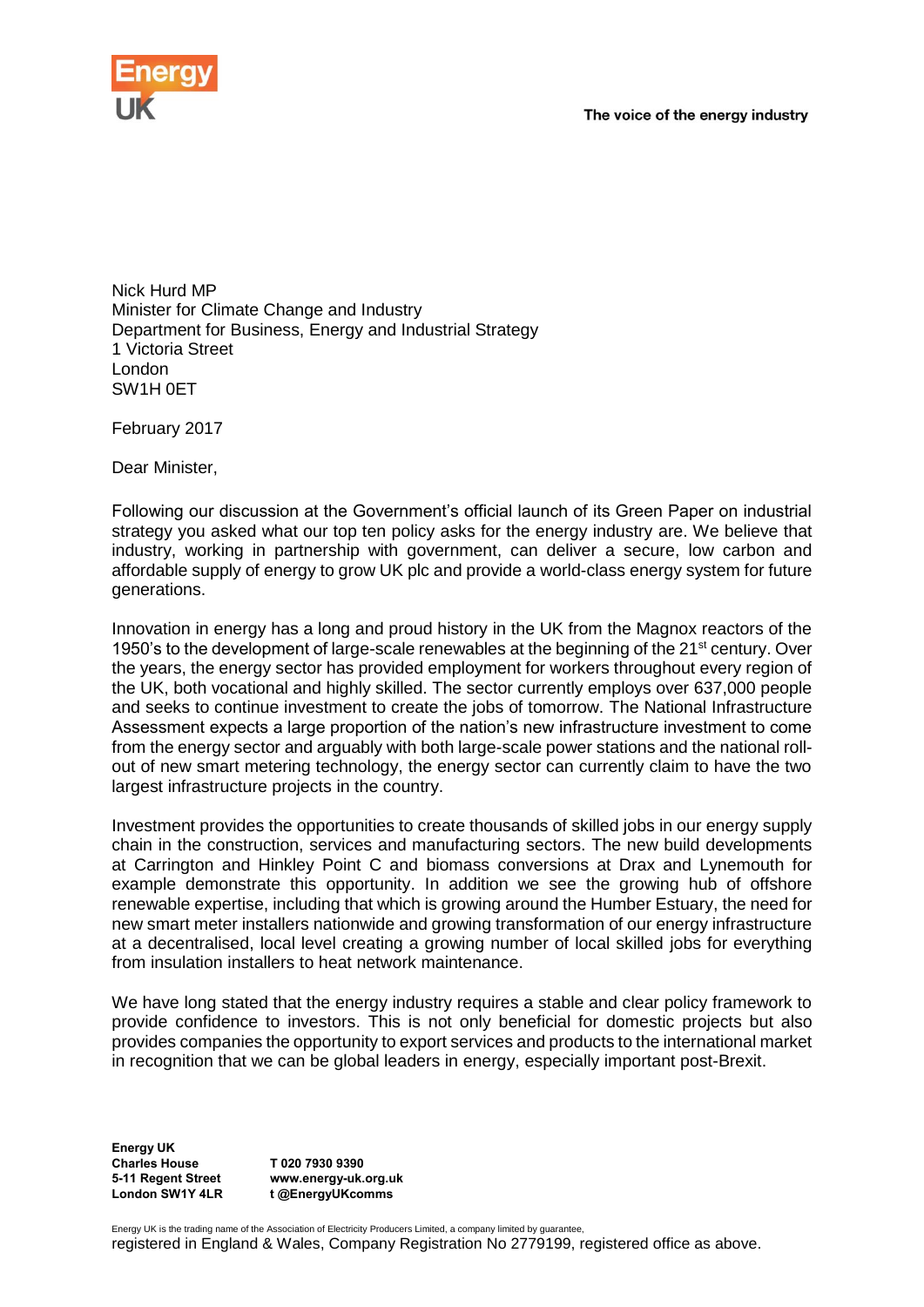

Nick Hurd MP Minister for Climate Change and Industry Department for Business, Energy and Industrial Strategy 1 Victoria Street London SW1H 0ET

February 2017

Dear Minister,

Following our discussion at the Government's official launch of its Green Paper on industrial strategy you asked what our top ten policy asks for the energy industry are. We believe that industry, working in partnership with government, can deliver a secure, low carbon and affordable supply of energy to grow UK plc and provide a world-class energy system for future generations.

Innovation in energy has a long and proud history in the UK from the Magnox reactors of the 1950's to the development of large-scale renewables at the beginning of the 21<sup>st</sup> century. Over the years, the energy sector has provided employment for workers throughout every region of the UK, both vocational and highly skilled. The sector currently employs over 637,000 people and seeks to continue investment to create the jobs of tomorrow. The National Infrastructure Assessment expects a large proportion of the nation's new infrastructure investment to come from the energy sector and arguably with both large-scale power stations and the national rollout of new smart metering technology, the energy sector can currently claim to have the two largest infrastructure projects in the country.

Investment provides the opportunities to create thousands of skilled jobs in our energy supply chain in the construction, services and manufacturing sectors. The new build developments at Carrington and Hinkley Point C and biomass conversions at Drax and Lynemouth for example demonstrate this opportunity. In addition we see the growing hub of offshore renewable expertise, including that which is growing around the Humber Estuary, the need for new smart meter installers nationwide and growing transformation of our energy infrastructure at a decentralised, local level creating a growing number of local skilled jobs for everything from insulation installers to heat network maintenance.

We have long stated that the energy industry requires a stable and clear policy framework to provide confidence to investors. This is not only beneficial for domestic projects but also provides companies the opportunity to export services and products to the international market in recognition that we can be global leaders in energy, especially important post-Brexit.

**Energy UK Charles House 5-11 Regent Street London SW1Y 4LR**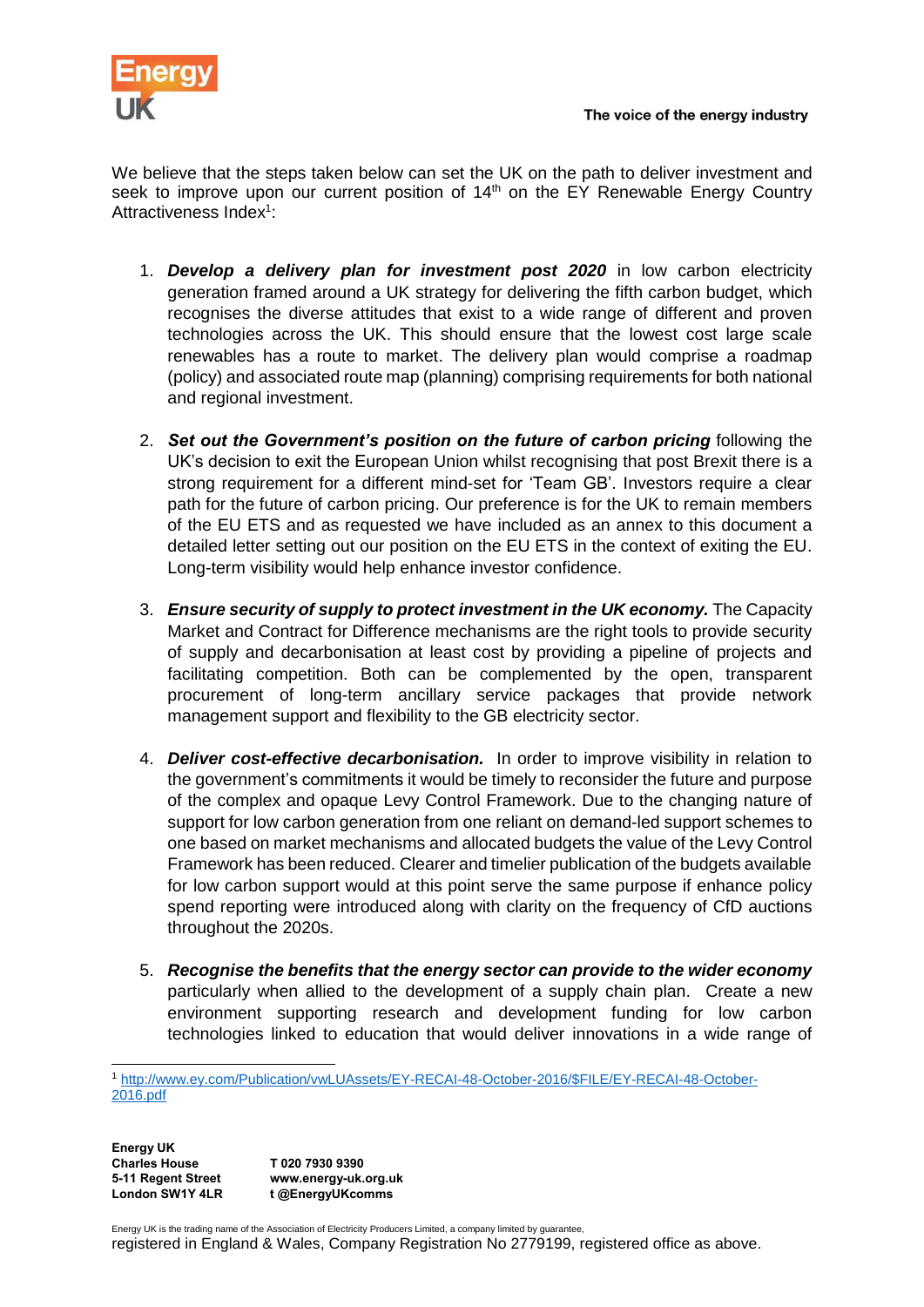

We believe that the steps taken below can set the UK on the path to deliver investment and seek to improve upon our current position of 14<sup>th</sup> on the EY Renewable Energy Country Attractiveness Index<sup>1</sup>:

- 1. *Develop a delivery plan for investment post 2020* in low carbon electricity generation framed around a UK strategy for delivering the fifth carbon budget, which recognises the diverse attitudes that exist to a wide range of different and proven technologies across the UK. This should ensure that the lowest cost large scale renewables has a route to market. The delivery plan would comprise a roadmap (policy) and associated route map (planning) comprising requirements for both national and regional investment.
- 2. *Set out the Government's position on the future of carbon pricing* following the UK's decision to exit the European Union whilst recognising that post Brexit there is a strong requirement for a different mind-set for 'Team GB'. Investors require a clear path for the future of carbon pricing. Our preference is for the UK to remain members of the EU ETS and as requested we have included as an annex to this document a detailed letter setting out our position on the EU ETS in the context of exiting the EU. Long-term visibility would help enhance investor confidence.
- 3. *Ensure security of supply to protect investment in the UK economy.* The Capacity Market and Contract for Difference mechanisms are the right tools to provide security of supply and decarbonisation at least cost by providing a pipeline of projects and facilitating competition. Both can be complemented by the open, transparent procurement of long-term ancillary service packages that provide network management support and flexibility to the GB electricity sector.
- 4. *Deliver cost-effective decarbonisation.* In order to improve visibility in relation to the government's commitments it would be timely to reconsider the future and purpose of the complex and opaque Levy Control Framework. Due to the changing nature of support for low carbon generation from one reliant on demand-led support schemes to one based on market mechanisms and allocated budgets the value of the Levy Control Framework has been reduced. Clearer and timelier publication of the budgets available for low carbon support would at this point serve the same purpose if enhance policy spend reporting were introduced along with clarity on the frequency of CfD auctions throughout the 2020s.
- 5. *Recognise the benefits that the energy sector can provide to the wider economy* particularly when allied to the development of a supply chain plan. Create a new environment supporting research and development funding for low carbon technologies linked to education that would deliver innovations in a wide range of

**Energy UK Charles House 5-11 Regent Street London SW1Y 4LR T 020 7930 9390 www.energy-uk.org.uk t @EnergyUKcomms**

Energy UK is the trading name of the Association of Electricity Producers Limited, a company limited by guarantee, registered in England & Wales, Company Registration No 2779199, registered office as above.

<sup>-</sup><sup>1</sup> [http://www.ey.com/Publication/vwLUAssets/EY-RECAI-48-October-2016/\\$FILE/EY-RECAI-48-October-](http://www.ey.com/Publication/vwLUAssets/EY-RECAI-48-October-2016/$FILE/EY-RECAI-48-October-2016.pdf)[2016.pdf](http://www.ey.com/Publication/vwLUAssets/EY-RECAI-48-October-2016/$FILE/EY-RECAI-48-October-2016.pdf)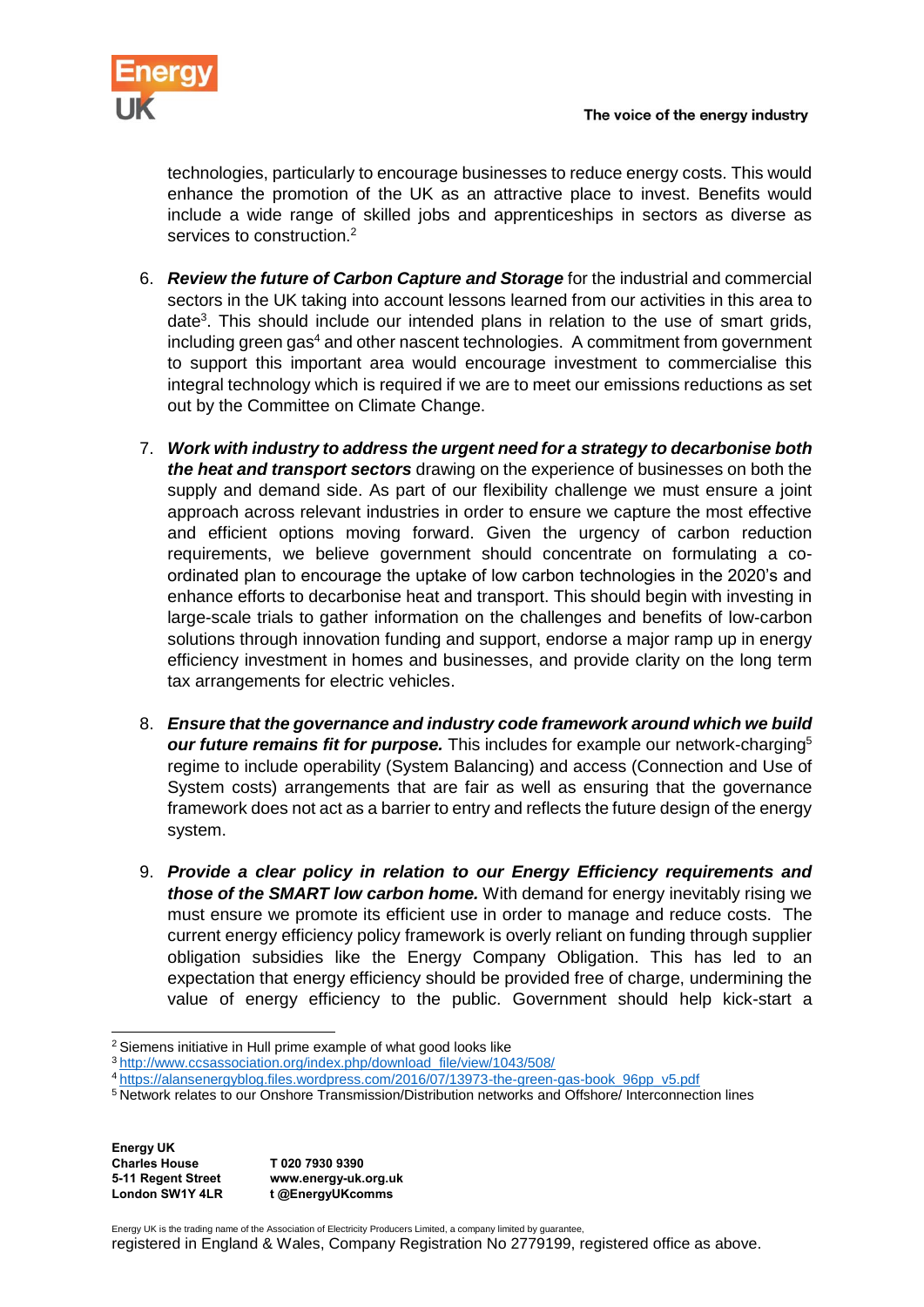technologies, particularly to encourage businesses to reduce energy costs. This would enhance the promotion of the UK as an attractive place to invest. Benefits would include a wide range of skilled jobs and apprenticeships in sectors as diverse as services to construction.<sup>2</sup>

- 6. *Review the future of Carbon Capture and Storage* for the industrial and commercial sectors in the UK taking into account lessons learned from our activities in this area to date<sup>3</sup>. This should include our intended plans in relation to the use of smart grids, including green gas<sup>4</sup> and other nascent technologies. A commitment from government to support this important area would encourage investment to commercialise this integral technology which is required if we are to meet our emissions reductions as set out by the Committee on Climate Change.
- 7. *Work with industry to address the urgent need for a strategy to decarbonise both the heat and transport sectors* drawing on the experience of businesses on both the supply and demand side. As part of our flexibility challenge we must ensure a joint approach across relevant industries in order to ensure we capture the most effective and efficient options moving forward. Given the urgency of carbon reduction requirements, we believe government should concentrate on formulating a coordinated plan to encourage the uptake of low carbon technologies in the 2020's and enhance efforts to decarbonise heat and transport. This should begin with investing in large-scale trials to gather information on the challenges and benefits of low-carbon solutions through innovation funding and support, endorse a major ramp up in energy efficiency investment in homes and businesses, and provide clarity on the long term tax arrangements for electric vehicles.
- 8. *Ensure that the governance and industry code framework around which we build our future remains fit for purpose.* This includes for example our network-charging<sup>5</sup> regime to include operability (System Balancing) and access (Connection and Use of System costs) arrangements that are fair as well as ensuring that the governance framework does not act as a barrier to entry and reflects the future design of the energy system.
- 9. *Provide a clear policy in relation to our Energy Efficiency requirements and those of the SMART low carbon home.* With demand for energy inevitably rising we must ensure we promote its efficient use in order to manage and reduce costs. The current energy efficiency policy framework is overly reliant on funding through supplier obligation subsidies like the Energy Company Obligation. This has led to an expectation that energy efficiency should be provided free of charge, undermining the value of energy efficiency to the public. Government should help kick-start a

**Energy UK Charles House 5-11 Regent Street London SW1Y 4LR T 020 7930 9390 www.energy-uk.org.uk t @EnergyUKcomms**

1

Energy UK is the trading name of the Association of Electricity Producers Limited, a company limited by guarantee,

<sup>2</sup> Siemens initiative in Hull prime example of what good looks like

<sup>3</sup> [http://www.ccsassociation.org/index.php/download\\_file/view/1043/508/](http://www.ccsassociation.org/index.php/download_file/view/1043/508/)

<sup>4</sup> [https://alansenergyblog.files.wordpress.com/2016/07/13973-the-green-gas-book\\_96pp\\_v5.pdf](https://alansenergyblog.files.wordpress.com/2016/07/13973-the-green-gas-book_96pp_v5.pdf)

<sup>5</sup> Network relates to our Onshore Transmission/Distribution networks and Offshore/ Interconnection lines

registered in England & Wales, Company Registration No 2779199, registered office as above.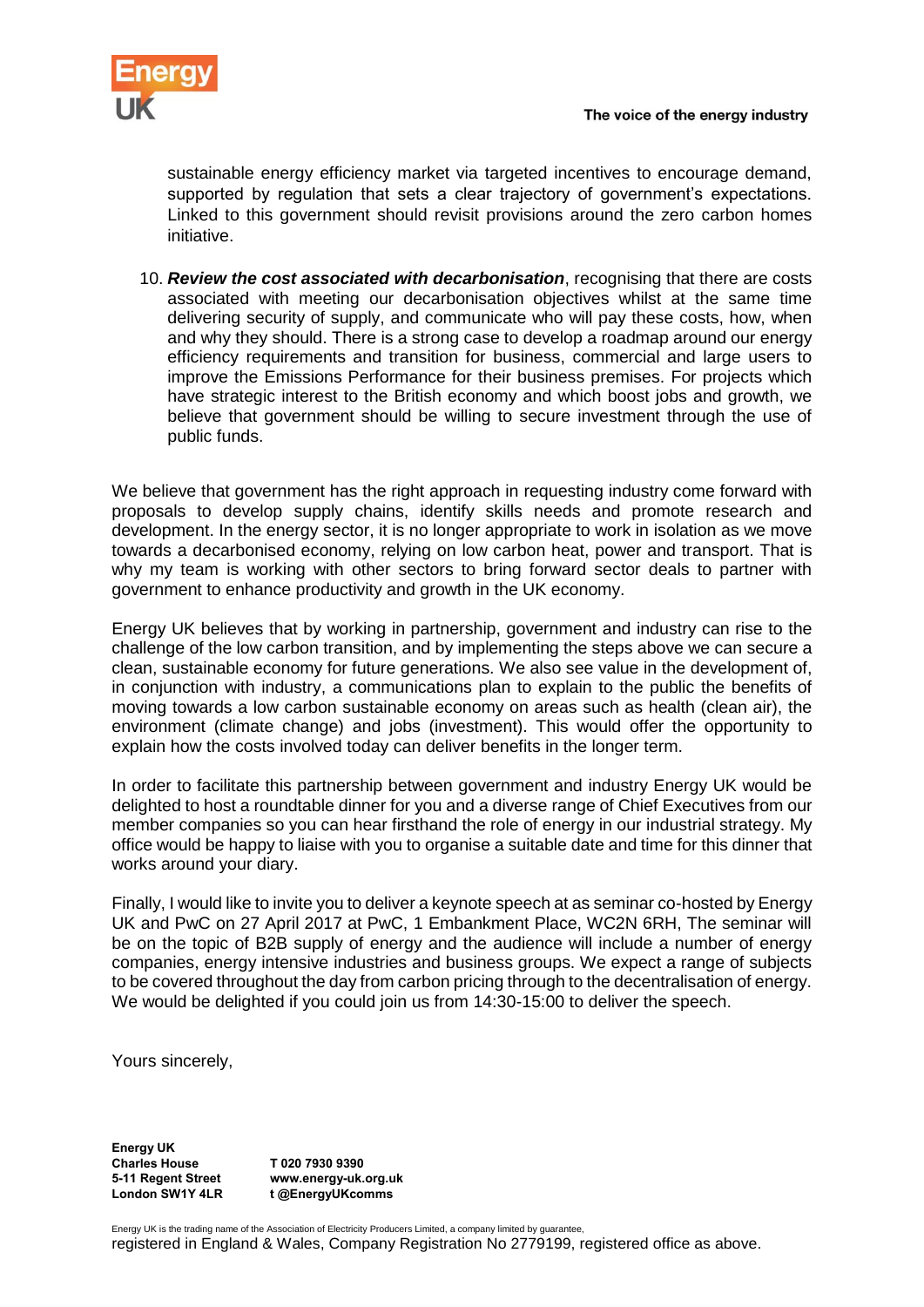

sustainable energy efficiency market via targeted incentives to encourage demand, supported by regulation that sets a clear trajectory of government's expectations. Linked to this government should revisit provisions around the zero carbon homes initiative.

10. *Review the cost associated with decarbonisation*, recognising that there are costs associated with meeting our decarbonisation objectives whilst at the same time delivering security of supply, and communicate who will pay these costs, how, when and why they should. There is a strong case to develop a roadmap around our energy efficiency requirements and transition for business, commercial and large users to improve the Emissions Performance for their business premises. For projects which have strategic interest to the British economy and which boost jobs and growth, we believe that government should be willing to secure investment through the use of public funds.

We believe that government has the right approach in requesting industry come forward with proposals to develop supply chains, identify skills needs and promote research and development. In the energy sector, it is no longer appropriate to work in isolation as we move towards a decarbonised economy, relying on low carbon heat, power and transport. That is why my team is working with other sectors to bring forward sector deals to partner with government to enhance productivity and growth in the UK economy.

Energy UK believes that by working in partnership, government and industry can rise to the challenge of the low carbon transition, and by implementing the steps above we can secure a clean, sustainable economy for future generations. We also see value in the development of, in conjunction with industry, a communications plan to explain to the public the benefits of moving towards a low carbon sustainable economy on areas such as health (clean air), the environment (climate change) and jobs (investment). This would offer the opportunity to explain how the costs involved today can deliver benefits in the longer term.

In order to facilitate this partnership between government and industry Energy UK would be delighted to host a roundtable dinner for you and a diverse range of Chief Executives from our member companies so you can hear firsthand the role of energy in our industrial strategy. My office would be happy to liaise with you to organise a suitable date and time for this dinner that works around your diary.

Finally, I would like to invite you to deliver a keynote speech at as seminar co-hosted by Energy UK and PwC on 27 April 2017 at PwC, 1 Embankment Place, WC2N 6RH, The seminar will be on the topic of B2B supply of energy and the audience will include a number of energy companies, energy intensive industries and business groups. We expect a range of subjects to be covered throughout the day from carbon pricing through to the decentralisation of energy. We would be delighted if you could join us from  $14:30-15:00$  to deliver the speech.

Yours sincerely,

**Energy UK Charles House 5-11 Regent Street London SW1Y 4LR**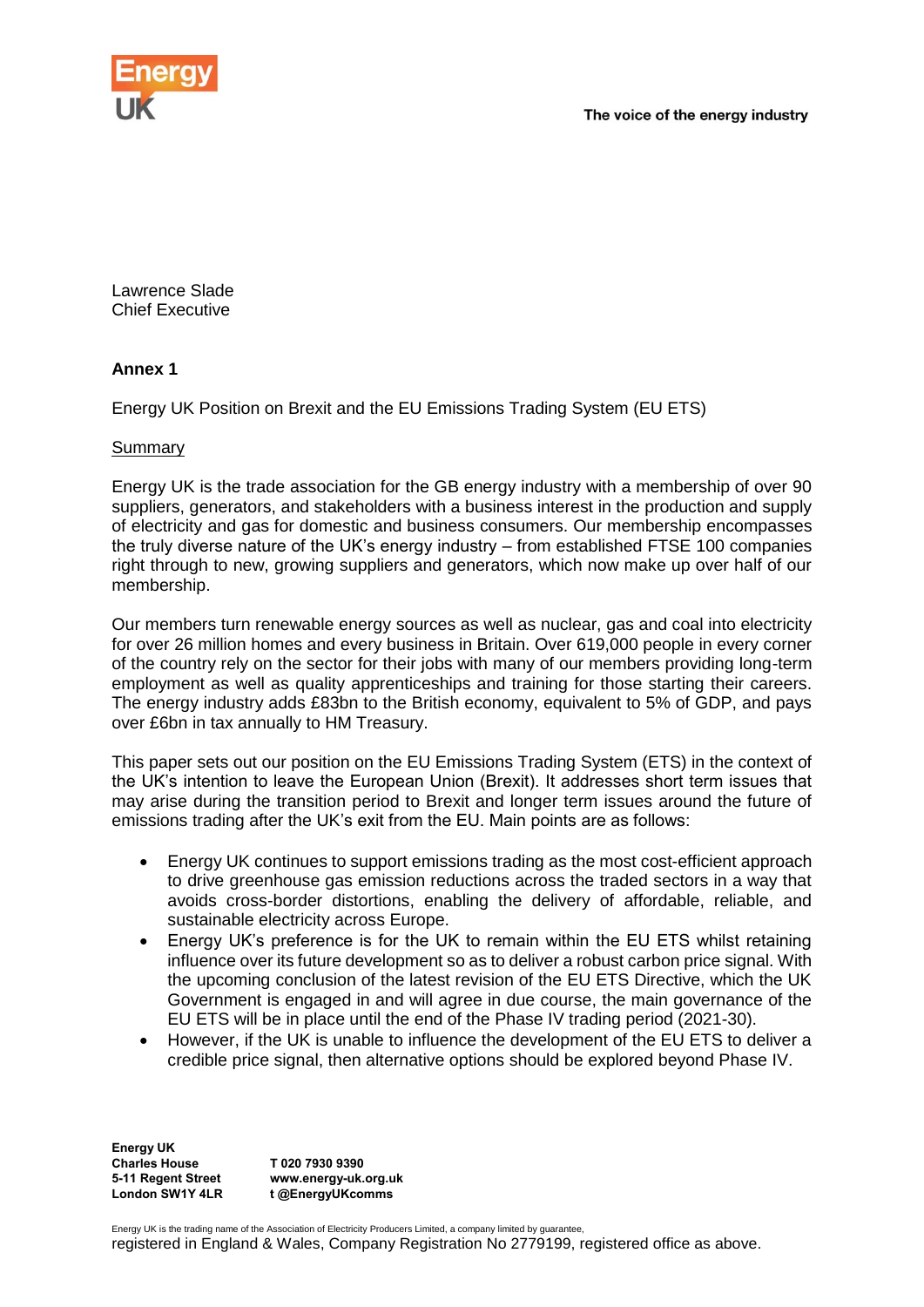



Lawrence Slade Chief Executive

# **Annex 1**

Energy UK Position on Brexit and the EU Emissions Trading System (EU ETS)

## Summary

Energy UK is the trade association for the GB energy industry with a membership of over 90 suppliers, generators, and stakeholders with a business interest in the production and supply of electricity and gas for domestic and business consumers. Our membership encompasses the truly diverse nature of the UK's energy industry – from established FTSE 100 companies right through to new, growing suppliers and generators, which now make up over half of our membership.

Our members turn renewable energy sources as well as nuclear, gas and coal into electricity for over 26 million homes and every business in Britain. Over 619,000 people in every corner of the country rely on the sector for their jobs with many of our members providing long-term employment as well as quality apprenticeships and training for those starting their careers. The energy industry adds £83bn to the British economy, equivalent to 5% of GDP, and pays over £6bn in tax annually to HM Treasury.

This paper sets out our position on the EU Emissions Trading System (ETS) in the context of the UK's intention to leave the European Union (Brexit). It addresses short term issues that may arise during the transition period to Brexit and longer term issues around the future of emissions trading after the UK's exit from the EU. Main points are as follows:

- Energy UK continues to support emissions trading as the most cost-efficient approach to drive greenhouse gas emission reductions across the traded sectors in a way that avoids cross-border distortions, enabling the delivery of affordable, reliable, and sustainable electricity across Europe.
- Energy UK's preference is for the UK to remain within the EU ETS whilst retaining influence over its future development so as to deliver a robust carbon price signal. With the upcoming conclusion of the latest revision of the EU ETS Directive, which the UK Government is engaged in and will agree in due course, the main governance of the EU ETS will be in place until the end of the Phase IV trading period (2021-30).
- However, if the UK is unable to influence the development of the EU ETS to deliver a credible price signal, then alternative options should be explored beyond Phase IV.

**Energy UK Charles House 5-11 Regent Street London SW1Y 4LR T 020 7930 9390 www.energy-uk.org.uk t @EnergyUKcomms**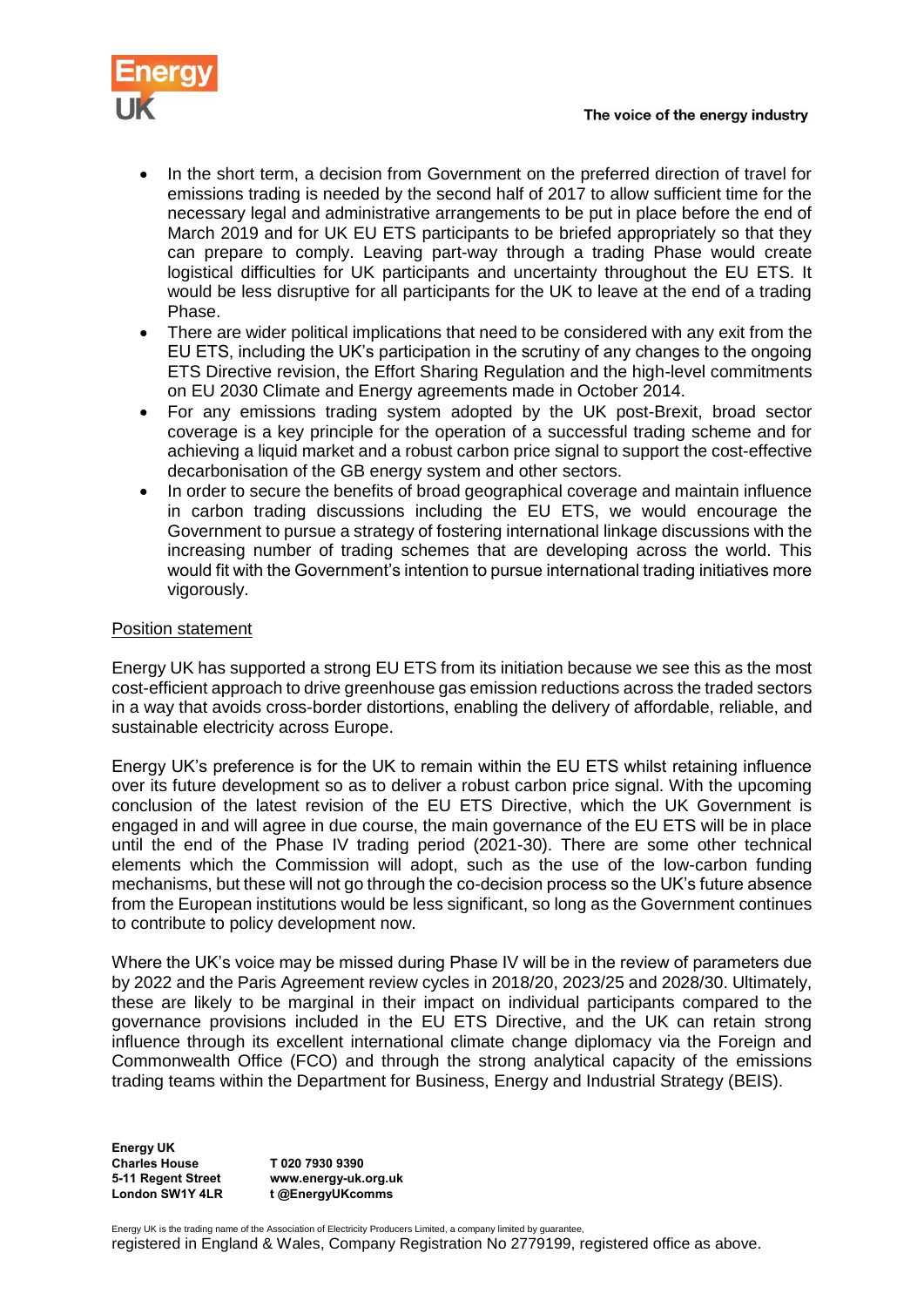

- In the short term, a decision from Government on the preferred direction of travel for emissions trading is needed by the second half of 2017 to allow sufficient time for the necessary legal and administrative arrangements to be put in place before the end of March 2019 and for UK EU ETS participants to be briefed appropriately so that they can prepare to comply. Leaving part-way through a trading Phase would create logistical difficulties for UK participants and uncertainty throughout the EU ETS. It would be less disruptive for all participants for the UK to leave at the end of a trading Phase.
- There are wider political implications that need to be considered with any exit from the EU ETS, including the UK's participation in the scrutiny of any changes to the ongoing ETS Directive revision, the Effort Sharing Regulation and the high-level commitments on EU 2030 Climate and Energy agreements made in October 2014.
- For any emissions trading system adopted by the UK post-Brexit, broad sector coverage is a key principle for the operation of a successful trading scheme and for achieving a liquid market and a robust carbon price signal to support the cost-effective decarbonisation of the GB energy system and other sectors.
- In order to secure the benefits of broad geographical coverage and maintain influence in carbon trading discussions including the EU ETS, we would encourage the Government to pursue a strategy of fostering international linkage discussions with the increasing number of trading schemes that are developing across the world. This would fit with the Government's intention to pursue international trading initiatives more vigorously.

## Position statement

Energy UK has supported a strong EU ETS from its initiation because we see this as the most cost-efficient approach to drive greenhouse gas emission reductions across the traded sectors in a way that avoids cross-border distortions, enabling the delivery of affordable, reliable, and sustainable electricity across Europe.

Energy UK's preference is for the UK to remain within the EU ETS whilst retaining influence over its future development so as to deliver a robust carbon price signal. With the upcoming conclusion of the latest revision of the EU ETS Directive, which the UK Government is engaged in and will agree in due course, the main governance of the EU ETS will be in place until the end of the Phase IV trading period (2021-30). There are some other technical elements which the Commission will adopt, such as the use of the low-carbon funding mechanisms, but these will not go through the co-decision process so the UK's future absence from the European institutions would be less significant, so long as the Government continues to contribute to policy development now.

Where the UK's voice may be missed during Phase IV will be in the review of parameters due by 2022 and the Paris Agreement review cycles in 2018/20, 2023/25 and 2028/30. Ultimately, these are likely to be marginal in their impact on individual participants compared to the governance provisions included in the EU ETS Directive, and the UK can retain strong influence through its excellent international climate change diplomacy via the Foreign and Commonwealth Office (FCO) and through the strong analytical capacity of the emissions trading teams within the Department for Business, Energy and Industrial Strategy (BEIS).

**Energy UK Charles House 5-11 Regent Street London SW1Y 4LR**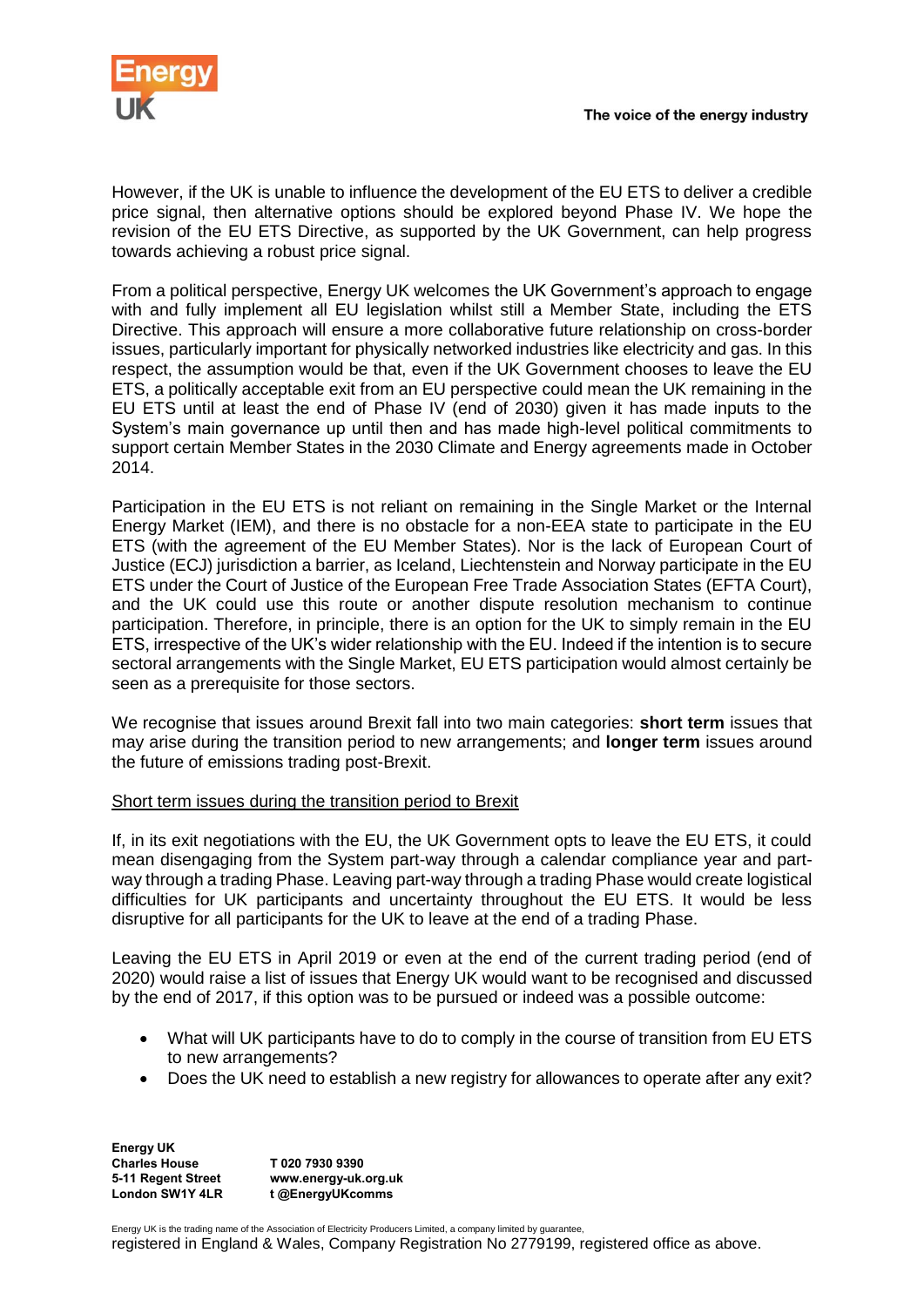

However, if the UK is unable to influence the development of the EU ETS to deliver a credible price signal, then alternative options should be explored beyond Phase IV. We hope the revision of the EU ETS Directive, as supported by the UK Government, can help progress towards achieving a robust price signal.

From a political perspective, Energy UK welcomes the UK Government's approach to engage with and fully implement all EU legislation whilst still a Member State, including the ETS Directive. This approach will ensure a more collaborative future relationship on cross-border issues, particularly important for physically networked industries like electricity and gas. In this respect, the assumption would be that, even if the UK Government chooses to leave the EU ETS, a politically acceptable exit from an EU perspective could mean the UK remaining in the EU ETS until at least the end of Phase IV (end of 2030) given it has made inputs to the System's main governance up until then and has made high-level political commitments to support certain Member States in the 2030 Climate and Energy agreements made in October 2014.

Participation in the EU ETS is not reliant on remaining in the Single Market or the Internal Energy Market (IEM), and there is no obstacle for a non-EEA state to participate in the EU ETS (with the agreement of the EU Member States). Nor is the lack of European Court of Justice (ECJ) jurisdiction a barrier, as Iceland, Liechtenstein and Norway participate in the EU ETS under the Court of Justice of the European Free Trade Association States (EFTA Court), and the UK could use this route or another dispute resolution mechanism to continue participation. Therefore, in principle, there is an option for the UK to simply remain in the EU ETS, irrespective of the UK's wider relationship with the EU. Indeed if the intention is to secure sectoral arrangements with the Single Market, EU ETS participation would almost certainly be seen as a prerequisite for those sectors.

We recognise that issues around Brexit fall into two main categories: **short term** issues that may arise during the transition period to new arrangements; and **longer term** issues around the future of emissions trading post-Brexit.

## Short term issues during the transition period to Brexit

If, in its exit negotiations with the EU, the UK Government opts to leave the EU ETS, it could mean disengaging from the System part-way through a calendar compliance year and partway through a trading Phase. Leaving part-way through a trading Phase would create logistical difficulties for UK participants and uncertainty throughout the EU ETS. It would be less disruptive for all participants for the UK to leave at the end of a trading Phase.

Leaving the EU ETS in April 2019 or even at the end of the current trading period (end of 2020) would raise a list of issues that Energy UK would want to be recognised and discussed by the end of 2017, if this option was to be pursued or indeed was a possible outcome:

- What will UK participants have to do to comply in the course of transition from EU ETS to new arrangements?
- Does the UK need to establish a new registry for allowances to operate after any exit?

**Energy UK Charles House 5-11 Regent Street London SW1Y 4LR T 020 7930 9390 www.energy-uk.org.uk t @EnergyUKcomms**

Energy UK is the trading name of the Association of Electricity Producers Limited, a company limited by guarantee,

registered in England & Wales, Company Registration No 2779199, registered office as above.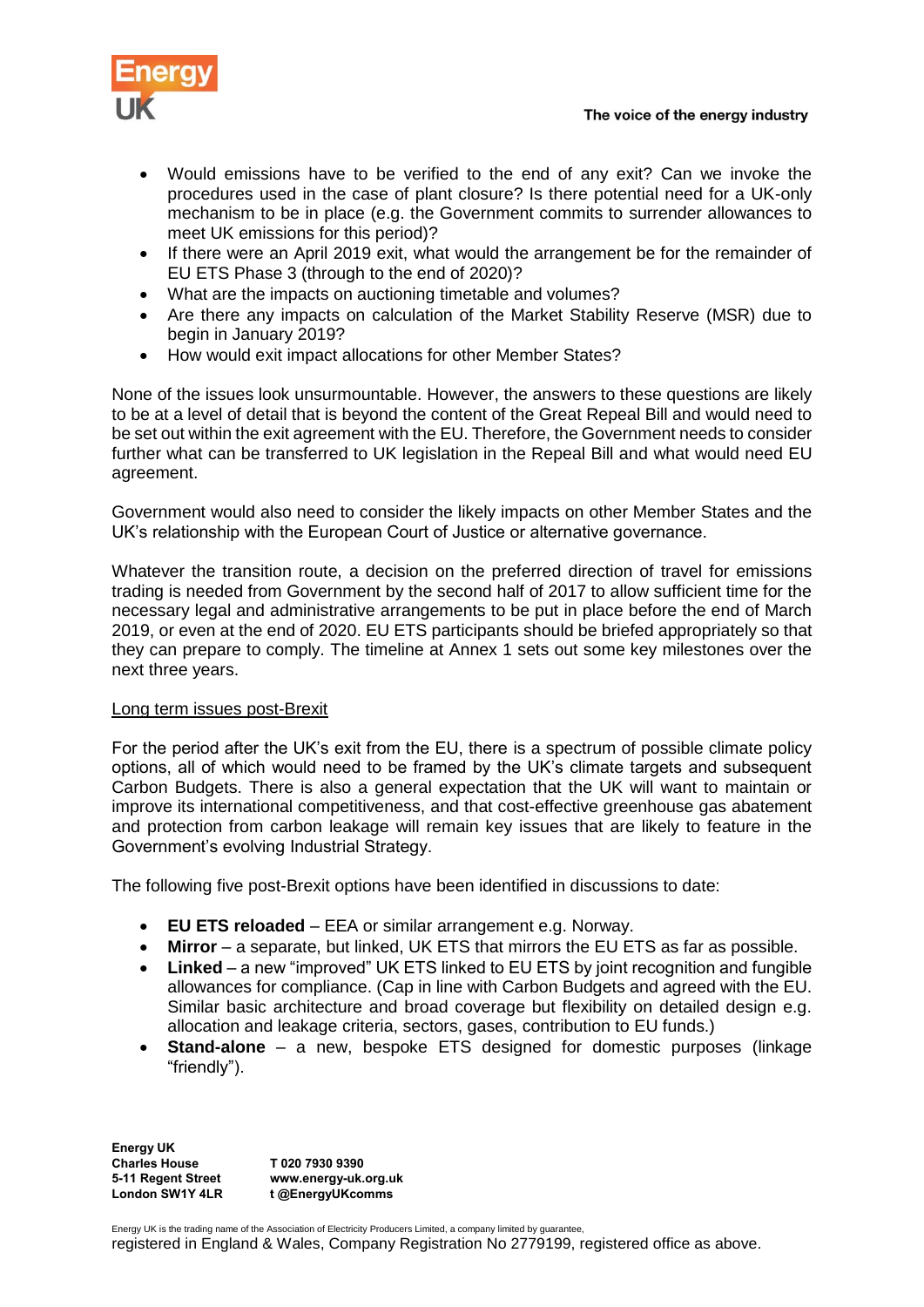- Would emissions have to be verified to the end of any exit? Can we invoke the procedures used in the case of plant closure? Is there potential need for a UK-only mechanism to be in place (e.g. the Government commits to surrender allowances to meet UK emissions for this period)?
- If there were an April 2019 exit, what would the arrangement be for the remainder of EU ETS Phase 3 (through to the end of 2020)?
- What are the impacts on auctioning timetable and volumes?
- Are there any impacts on calculation of the Market Stability Reserve (MSR) due to begin in January 2019?
- How would exit impact allocations for other Member States?

None of the issues look unsurmountable. However, the answers to these questions are likely to be at a level of detail that is beyond the content of the Great Repeal Bill and would need to be set out within the exit agreement with the EU. Therefore, the Government needs to consider further what can be transferred to UK legislation in the Repeal Bill and what would need EU agreement.

Government would also need to consider the likely impacts on other Member States and the UK's relationship with the European Court of Justice or alternative governance.

Whatever the transition route, a decision on the preferred direction of travel for emissions trading is needed from Government by the second half of 2017 to allow sufficient time for the necessary legal and administrative arrangements to be put in place before the end of March 2019, or even at the end of 2020. EU ETS participants should be briefed appropriately so that they can prepare to comply. The timeline at Annex 1 sets out some key milestones over the next three years.

## Long term issues post-Brexit

For the period after the UK's exit from the EU, there is a spectrum of possible climate policy options, all of which would need to be framed by the UK's climate targets and subsequent Carbon Budgets. There is also a general expectation that the UK will want to maintain or improve its international competitiveness, and that cost-effective greenhouse gas abatement and protection from carbon leakage will remain key issues that are likely to feature in the Government's evolving Industrial Strategy.

The following five post-Brexit options have been identified in discussions to date:

- **EU ETS reloaded** EEA or similar arrangement e.g. Norway.
- **Mirror** a separate, but linked, UK ETS that mirrors the EU ETS as far as possible.
- **Linked** a new "improved" UK ETS linked to EU ETS by joint recognition and fungible allowances for compliance. (Cap in line with Carbon Budgets and agreed with the EU. Similar basic architecture and broad coverage but flexibility on detailed design e.g. allocation and leakage criteria, sectors, gases, contribution to EU funds.)
- **Stand-alone** a new, bespoke ETS designed for domestic purposes (linkage "friendly").

**Energy UK Charles House 5-11 Regent Street London SW1Y 4LR T 020 7930 9390 www.energy-uk.org.uk t @EnergyUKcomms**

Energy UK is the trading name of the Association of Electricity Producers Limited, a company limited by guarantee, registered in England & Wales, Company Registration No 2779199, registered office as above.